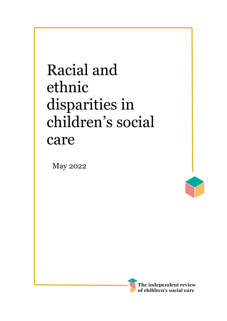# Racial and ethnic disparities in children's social care

May 2022



I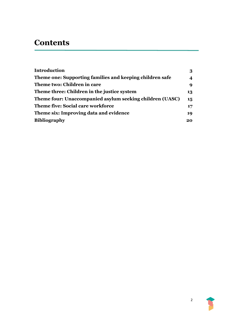# **Contents**

| <b>Introduction</b>                                      | 3  |
|----------------------------------------------------------|----|
| Theme one: Supporting families and keeping children safe | 4  |
| Theme two: Children in care                              | 9  |
| Theme three: Children in the justice system              | 13 |
| Theme four: Unaccompanied asylum seeking children (UASC) | 15 |
| <b>Theme five: Social care workforce</b>                 | 17 |
| Theme six: Improving data and evidence                   | 19 |
| <b>Bibliography</b>                                      | 20 |

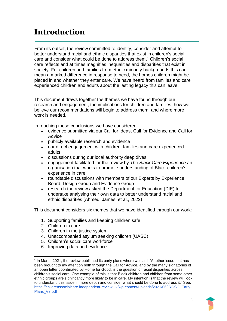# <span id="page-2-0"></span>**Introduction**

From its outset, the review committed to identify, consider and attempt to better understand racial and ethnic disparities that exist in children's social care and consider what could be done to address them. <sup>1</sup> Children's social care reflects and at times magnifies inequalities and disparities that exist in society. For children and families from ethnic minority backgrounds this can mean a marked difference in response to need, the homes children might be placed in and whether they enter care. We have heard from families and care experienced children and adults about the lasting legacy this can leave.

This document draws together the themes we have found through our research and engagement, the implications for children and families, how we believe our recommendations will begin to address them, and where more work is needed.

In reaching these conclusions we have considered:

- evidence submitted via our Call for Ideas, Call for Evidence and Call for **Advice**
- publicly available research and evidence
- our direct engagement with children, families and care experienced adults
- discussions during our local authority deep dives
- engagement facilitated for the review by *The Black Care Experience* an organisation that works to promote understanding of Black children's experience in care
- roundtable discussions with members of our Experts by Experience Board, Design Group and Evidence Group
- research the review asked the Department for Education (DfE) to undertake analysing their own data to better understand racial and ethnic disparities (Ahmed, James, et al., 2022)

This document considers six themes that we have identified through our work:

- 1. Supporting families and keeping children safe
- 2. Children in care
- 3. Children in the justice system
- 4. Unaccompanied asylum seeking children (UASC)
- 5. Children's social care workforce
- 6. Improving data and evidence

<sup>1</sup> In March 2021, the review published its early plans where we said: "Another issue that has been brought to my attention both through the Call for Advice, and by the many signatories of an open letter coordinated by Home for Good, is the question of racial disparities across children's social care. One example of this is that Black children and children from some other ethnic groups are significantly more likely to be in care. My intention is that the review will look to understand this issue in more depth and consider what should be done to address it." See: [https://childrenssocialcare.independent-review.uk/wp-content/uploads/2021/06/IRCSC\\_Early-](https://childrenssocialcare.independent-review.uk/wp-content/uploads/2021/06/IRCSC_Early-Plans_V3.pdf)[Plans\\_V3.pdf](https://childrenssocialcare.independent-review.uk/wp-content/uploads/2021/06/IRCSC_Early-Plans_V3.pdf)

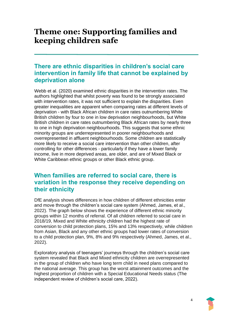## <span id="page-3-0"></span>**Theme one: Supporting families and keeping children safe**

## **There are ethnic disparities in children's social care intervention in family life that cannot be explained by deprivation alone**

Webb et al. (2020) examined ethnic disparities in the intervention rates. The authors highlighted that whilst poverty was found to be strongly associated with intervention rates, it was not sufficient to explain the disparities. Even greater inequalities are apparent when comparing rates at different levels of deprivation - with Black African children in care rates outnumbering White British children by four to one in low deprivation neighbourhoods, but White British children in care rates outnumbering Black African rates by nearly three to one in high deprivation neighbourhoods. This suggests that some ethnic minority groups are underrepresented in poorer neighbourhoods and overrepresented in affluent neighbourhoods. Some children are statistically more likely to receive a social care intervention than other children, after controlling for other differences - particularly if they have a lower family income, live in more deprived areas, are older, and are of Mixed Black or White Caribbean ethnic groups or other Black ethnic group.

### **When families are referred to social care, there is variation in the response they receive depending on their ethnicity**

DfE analysis shows differences in how children of different ethnicities enter and move through the children's social care system (Ahmed, James, et al., 2022). The graph below shows the experience of different ethnic minority groups within 12 months of referral. Of all children referred to social care in 2018/19, Mixed and White ethnicity children had the highest rate of conversion to child protection plans, 15% and 13% respectively, while children from Asian, Black and any other ethnic groups had lower rates of conversion to a child protection plan, 9%, 8% and 9% respectively (Ahmed, James, et al., 2022).

Exploratory analysis of teenagers' journeys through the children's social care system revealed that Black and Mixed ethnicity children are overrepresented in the group of children who have long term child in need plans compared to the national average. This group has the worst attainment outcomes and the highest proportion of children with a Special Educational Needs status (The independent review of children's social care, 2022).

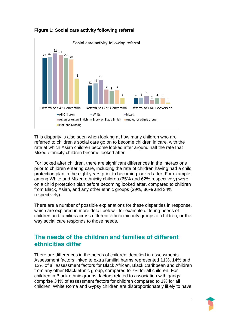

**Figure 1: Social care activity following referral**

This disparity is also seen when looking at how many children who are referred to children's social care go on to become children in care, with the rate at which Asian children become looked after around half the rate that Mixed ethnicity children become looked after.

For looked after children, there are significant differences in the interactions prior to children entering care, including the rate of children having had a child protection plan in the eight years prior to becoming looked after. For example, among White and Mixed ethnicity children (65% and 62% respectively) were on a child protection plan before becoming looked after, compared to children from Black, Asian, and any other ethnic groups (39%, 36% and 34% respectively).

There are a number of possible explanations for these disparities in response, which are explored in more detail below - for example differing needs of children and families across different ethnic minority groups of children, or the way social care responds to those needs.

#### **The needs of the children and families of different ethnicities differ**

There are differences in the needs of children identified in assessments. Assessment factors linked to extra familial harms represented 11%, 14% and 12% of all assessment factors for Black African, Black Caribbean and children from any other Black ethnic group, compared to 7% for all children. For children in Black ethnic groups, factors related to association with gangs comprise 34% of assessment factors for children compared to 1% for all children. White Roma and Gypsy children are disproportionately likely to have

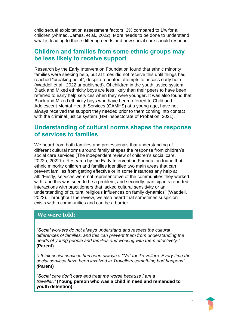child sexual exploitation assessment factors, 3% compared to 1% for all children (Ahmed, James, et al., 2022). More needs to be done to understand what is leading to these differing needs and how social care should respond.

#### **Children and families from some ethnic groups may be less likely to receive support**

Research by the Early Intervention Foundation found that ethnic minority families were seeking help, but at times did not receive this until things had reached "breaking point", despite repeated attempts to access early help (Waddell et al., 2022 unpublished). Of children in the youth justice system, Black and Mixed ethnicity boys are less likely than their peers to have been referred to early help services when they were younger. It was also found that Black and Mixed ethnicity boys who have been referred to Child and Adolescent Mental Health Services (CAMHS) at a young age, have not always received the support they needed prior to them coming into contact with the criminal justice system (HM Inspectorate of Probation, 2021).

#### **Understanding of cultural norms shapes the response of services to families**

We heard from both families and professionals that understanding of different cultural norms around family shapes the response from children's social care services (The independent review of children's social care, 2022a; 2022b). Research by the Early Intervention Foundation found that ethnic minority children and families identified two main areas that can prevent families from getting effective or in some instances any help at all: "Firstly, services were not representative of the communities they worked with, and this was seen to be a problem, and secondly, participants reported interactions with practitioners that lacked cultural sensitivity or an understanding of cultural religious influences on family dynamics" (Waddell, 2022). Throughout the review, we also heard that sometimes suspicion exists within communities and can be a barrier.

#### **We were told:**

*"Social workers do not always understand and respect the cultural differences of families, and this can prevent them from understanding the needs of young people and families and working with them effectively."* **(Parent)**

*"I think social services has been always a "No" for Travellers. Every time the social services have been involved in Travellers something bad happens" (***Parent)**

*"Social care don't care and treat me worse because I am a traveller."* **(Young person who was a child in need and remanded to youth detention)**

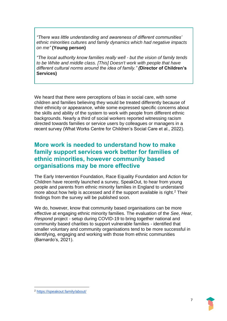*"There was little understanding and awareness of different communities' ethnic minorities cultures and family dynamics which had negative impacts on me"* **(Young person)**

*"The local authority know families really well - but the vision of family tends to be White and middle class. [This] Doesn't work with people that have different cultural norms around the idea of family." (***Director of Children's Services)**

We heard that there were perceptions of bias in social care, with some children and families believing they would be treated differently because of their ethnicity or appearance, while some expressed specific concerns about the skills and ability of the system to work with people from different ethnic backgrounds. Nearly a third of social workers reported witnessing racism directed towards families or service users by colleagues or managers in a recent survey (What Works Centre for Children's Social Care et al., 2022).

#### **More work is needed to understand how to make family support services work better for families of ethnic minorities, however community based organisations may be more effective**

The Early Intervention Foundation, Race Equality Foundation and Action for Children have recently launched a survey, SpeakOut, to hear from young people and parents from ethnic minority families in England to understand more about how help is accessed and if the support available is right.<sup>2</sup> Their findings from the survey will be published soon.

We do, however, know that community based organisations can be more effective at engaging ethnic minority families. The evaluation of the *See, Hear, Respond* project - setup during COVID-19 to bring together national and community based charities to support vulnerable families - identified that smaller voluntary and community organisations tend to be more successful in identifying, engaging and working with those from ethnic communities (Barnardo's, 2021).

<sup>2</sup> <https://speakout.family/about/>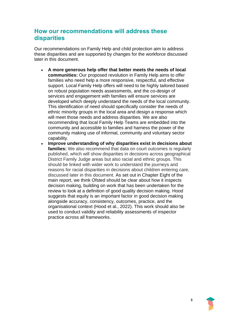## **How our recommendations will address these disparities**

Our recommendations on Family Help and child protection aim to address these disparities and are supported by changes for the workforce discussed later in this document.

- **A more generous help offer that better meets the needs of local communities:** Our proposed revolution in Family Help aims to offer families who need help a more responsive, respectful, and effective support. Local Family Help offers will need to be highly tailored based on robust population needs assessments, and the co-design of services and engagement with families will ensure services are developed which deeply understand the needs of the local community. This identification of need should specifically consider the needs of ethnic minority groups in the local area and design a response which will meet those needs and address disparities. We are also recommending that local Family Help Teams are embedded into the community and accessible to families and harness the power of the community making use of informal, community and voluntary sector capability.
- **Improve understanding of why disparities exist in decisions about families:** We also recommend that data on court outcomes is regularly published, which will show disparities in decisions across geographical District Family Judge areas but also racial and ethnic groups. This should be linked with wider work to understand the journeys and reasons for racial disparities in decisions about children entering care, discussed later in this document. As set out in Chapter Eight of the main report, we think Ofsted should be clear about how it inspects decision making, building on work that has been undertaken for the review to look at a definition of good quality decision making. Hood suggests that equity is an important factor in good decision making alongside accuracy, consistency, outcomes, practice, and the organisational context (Hood et al., 2022). This work should also be used to conduct validity and reliability assessments of inspector practice across all frameworks.

8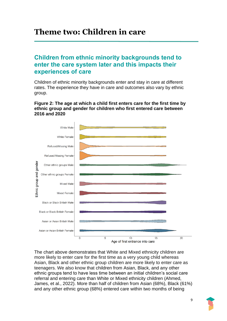# <span id="page-8-0"></span>**Theme two: Children in care**

### **Children from ethnic minority backgrounds tend to enter the care system later and this impacts their experiences of care**

Children of ethnic minority backgrounds enter and stay in care at different rates. The experience they have in care and outcomes also vary by ethnic group.

#### **Figure 2: The age at which a child first enters care for the first time by ethnic group and gender for children who first entered care between 2016 and 2020**



The chart above demonstrates that White and Mixed ethnicity children are more likely to enter care for the first time as a very young child whereas Asian, Black and other ethnic group children are more likely to enter care as teenagers. We also know that children from Asian, Black, and any other ethnic groups tend to have less time between an initial children's social care referral and entering care than White or Mixed ethnicity children (Ahmed, James, et al., 2022). More than half of children from Asian (68%), Black (61%) and any other ethnic group (68%) entered care within two months of being

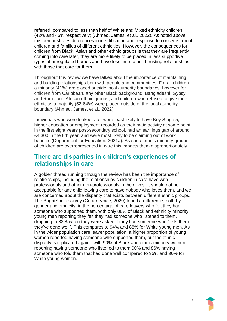referred, compared to less than half of White and Mixed ethnicity children (42% and 45% respectively) (Ahmed, James, et al., 2022). As noted above this demonstrates differences in identification and response to concerns about children and families of different ethnicities. However, the consequences for children from Black, Asian and other ethnic groups is that they are frequently coming into care later, they are more likely to be placed in less supportive types of unregulated homes and have less time to build trusting relationships with those that care for them.

Throughout this review we have talked about the importance of maintaining and building relationships both with people and communities. For all children a minority (41%) are placed outside local authority boundaries, however for children from Caribbean, any other Black background, Bangladeshi, Gypsy and Roma and African ethnic groups, and children who refused to give their ethnicity, a majority (52-64%) were placed outside of the local authority boundary (Ahmed, James, et al., 2022).

Individuals who were looked after were least likely to have Key Stage 5, higher education or employment recorded as their main activity at some point in the first eight years post-secondary school, had an earnings gap of around £4,300 in the 8th year, and were most likely to be claiming out of work benefits (Department for Education, 2021a). As some ethnic minority groups of children are overrepresented in care this impacts them disproportionately.

#### **There are disparities in children's experiences of relationships in care**

A golden thread running through the review has been the importance of relationships, including the relationships children in care have with professionals and other non-professionals in their lives. It should not be acceptable for any child leaving care to have nobody who loves them, and we are concerned about the disparity that exists between different ethnic groups. The BrightSpots survey (Coram Voice, 2020) found a difference, both by gender and ethnicity, in the percentage of care leavers who felt they had someone who supported them, with only 86% of Black and ethnicity minority young men reporting they felt they had someone who listened to them, dropping to 83% when they were asked if they had someone who "tells them they've done well". This compares to 94% and 88% for White young men. As in the wider population care leaver population, a higher proportion of young women reported having someone who supported them, but the ethnic disparity is replicated again - with 90% of Black and ethnic minority women reporting having someone who listened to them 90% and 86% having someone who told them that had done well compared to 95% and 90% for White young women.

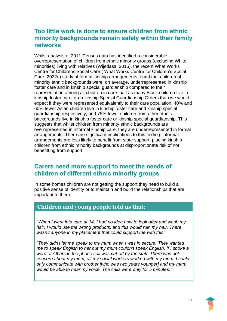## **Too little work is done to ensure children from ethnic minority backgrounds remain safely within their family networks**

Whilst analysis of 2011 Census data has identified a considerable overrepresentation of children from ethnic minority groups (excluding White minorities) living with relatives (Wijedasa, 2015), the recent What Works Centre for Childrens Social Care ( What Works Centre for Children's Social Care, 2022a) study of formal kinship arrangements found that children of minority ethnic backgrounds were, on average, underrepresented in kinship foster care and in kinship special guardianship compared to their representation among all children in care: half as many Black children live in kinship foster care or on kinship Special Guardianship Orders than we would expect if they were represented equivalently to their care population, 40% and 60% fewer Asian children live in kinship foster care and kinship special guardianship respectively, and 75% fewer children from other ethnic backgrounds live in kinship foster care or kinship special guardianship. This suggests that whilst children from minority ethnic backgrounds are overrepresented in informal kinship care, they are underrepresented in formal arrangements. There are significant implications to this finding: informal arrangements are less likely to benefit from state support, placing kinship children from ethnic minority backgrounds at disproportionate risk of not benefitting from support.

### **Carers need more support to meet the needs of children of different ethnic minority groups**

In some homes children are not getting the support they need to build a positive sense of identity or to maintain and build the relationships that are important to them.

#### **Children and young people told us that:**

*"When I went into care at 14, I had no idea how to look after and wash my hair. I would use the wrong products, and this would ruin my hair. There wasn't anyone in my placement that could support me with this"*

*"They didn't let me speak to my mum when I was in secure. They wanted me to speak English to her but my mum couldn't speak English. If I spoke a word of Albanian the phone call was cut-off by the staff. There was not concern about my mum, all my social workers worked with my mum. I could only communicate with brother [who was two years younger] and my mum would be able to hear my voice. The calls were only for 5 minutes."*

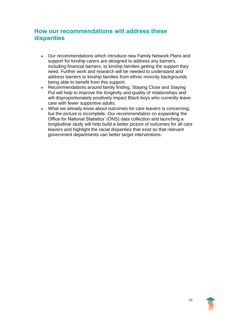## **How our recommendations will address these disparities**

- Our recommendations which introduce new Family Network Plans and support for kinship carers are designed to address any barriers, including financial barriers, to kinship families getting the support they need. Further work and research will be needed to understand and address barriers to kinship families from ethnic minority backgrounds being able to benefit from this support.
- Recommendations around family finding, Staying Close and Staying Put will help to improve the longevity and quality of relationships and will disproportionately positively impact Black boys who currently leave care with fewer supportive adults.
- What we already know about outcomes for care leavers is concerning, but the picture is incomplete. Our recommendation on expanding the Office for National Statistics' (ONS) data collection and launching a longitudinal study will help build a better picture of outcomes for all care leavers and highlight the racial disparities that exist so that relevant government departments can better target interventions.

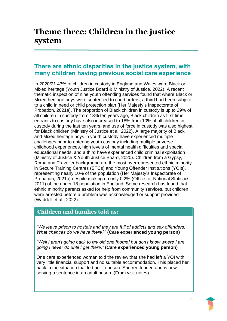# <span id="page-12-0"></span>**Theme three: Children in the justice system**

#### **There are ethnic disparities in the justice system, with many children having previous social care experience**

In 2020/21 43% of children in custody in England and Wales were Black or Mixed heritage (Youth Justice Board & Ministry of Justice, 2022). A recent thematic inspection of nine youth offending services found that where Black or Mixed heritage boys were sentenced to court orders, a third had been subject to a child in need or child protection plan (Her Majesty's Inspectorate of Probation, 2021a). The proportion of Black children in custody is up to 29% of all children in custody from 18% ten years ago, Black children as first time entrants to custody have also increased to 18% from 10% of all children in custody during the last ten years, and use of force in custody was also highest for Black children (Ministry of Justice et al. 2022). A large majority of Black and Mixed heritage boys in youth custody have experienced multiple challenges prior to entering youth custody including multiple adverse childhood experiences, high levels of mental health difficulties and special educational needs, and a third have experienced child criminal exploitation (Ministry of Justice & Youth Justice Board, 2020). Children from a Gypsy, Roma and Traveller background are the most overrepresented ethnic minority in Secure Training Centres (STCs) and Young Offender Institutions (YOIs), representing nearly 10% of the population (Her Majesty's Inspectorate of Probation, 2021b) despite making up only 0.2% (Office for National Statistics, 2011) of the under 18 population in England. Some research has found that ethnic minority parents asked for help from community services, but children were arrested before a problem was acknowledged or support provided (Waddell et al., 2022).

#### **Children and families told us:**

*"We leave prison to hostels and they are full of addicts and sex offenders. What chances do we have there?"* **(Care experienced young person)**

*"Well I aren't going back to my old one [home] but don't know where I am going I never do until I get there."* **(Care experienced young person)**

One care experienced woman told the review that she had left a YOI with very little financial support and no suitable accommodation. This placed her back in the situation that led her to prison. She reoffended and is now serving a sentence in an adult prison. (From visit notes)

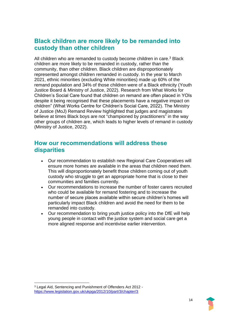## **Black children are more likely to be remanded into custody than other children**

All children who are remanded to custody become children in care.<sup>3</sup> Black children are more likely to be remanded in custody, rather than the community, than other children. Black children are disproportionately represented amongst children remanded in custody. In the year to March 2021, ethnic minorities (excluding White minorities) made up 60% of the remand population and 34% of those children were of a Black ethnicity (Youth Justice Board & Ministry of Justice, 2022). Research from What Works for Children's Social Care found that children on remand are often placed in YOIs despite it being recognised that these placements have a negative impact on children" (What Works Centre for Children's Social Care, 2022). The Ministry of Justice (MoJ) Remand Review highlighted that judges and magistrates believe at times Black boys are not "championed by practitioners" in the way other groups of children are, which leads to higher levels of remand in custody (Ministry of Justice, 2022).

#### **How our recommendations will address these disparities**

- Our recommendation to establish new Regional Care Cooperatives will ensure more homes are available in the areas that children need them. This will disproportionately benefit those children coming out of youth custody who struggle to get an appropriate home that is close to their communities and families currently.
- Our recommendations to increase the number of foster carers recruited who could be available for remand fostering and to increase the number of secure places available within secure children's homes will particularly impact Black children and avoid the need for them to be remanded into custody.
- Our recommendation to bring youth justice policy into the DfE will help young people in contact with the justice system and social care get a more aligned response and incentivise earlier intervention.



<sup>3</sup> Legal Aid, Sentencing and Punishment of Offenders Act 2012 <https://www.legislation.gov.uk/ukpga/2012/10/part/3/chapter/3>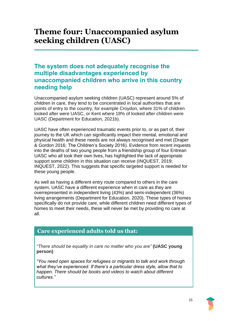# <span id="page-14-0"></span>**Theme four: Unaccompanied asylum seeking children (UASC)**

## **The system does not adequately recognise the multiple disadvantages experienced by unaccompanied children who arrive in this country needing help**

Unaccompanied asylum seeking children (UASC) represent around 5% of children in care, they tend to be concentrated in local authorities that are points of entry to the country, for example Croydon, where 31% of children looked after were UASC, or Kent where 18% of looked after children were UASC (Department for Education, 2021b).

UASC have often experienced traumatic events prior to, or as part of, their journey to the UK which can significantly impact their mental, emotional and physical health and these needs are not always recognised and met (Draper & Gordon 2016; The Children's Society 2016). Evidence from recent inquests into the deaths of two young people from a friendship group of four Eritrean UASC who all took their own lives, has highlighted the lack of appropriate support some children in this situation can receive (INQUEST, 2019; INQUEST, 2022). This suggests that specific targeted support is needed for these young people.

As well as having a different entry route compared to others in the care system, UASC have a different experience when in care as they are overrepresented in independent living (43%) and semi-independent (36%) living arrangements (Department for Education, 2020). These types of homes specifically do not provide care, while different children need different types of homes to meet their needs, these will never be met by providing no care at all.

#### **Care experienced adults told us that:**

*"There should be equality in care no matter who you are"* **(UASC young person)**

*"You need open spaces for refugees or migrants to talk and work through what they've experienced. If there's a particular dress style, allow that to happen. There should be books and videos to watch about different cultures."*

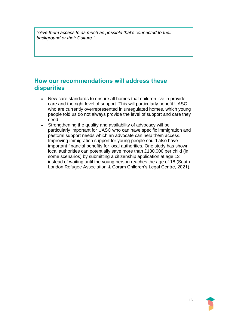*"Give them access to as much as possible that's connected to their background or their Culture."*

#### **How our recommendations will address these disparities**

- New care standards to ensure all homes that children live in provide care and the right level of support. This will particularly benefit UASC who are currently overrepresented in unregulated homes, which young people told us do not always provide the level of support and care they need.
- Strengthening the quality and availability of advocacy will be particularly important for UASC who can have specific immigration and pastoral support needs which an advocate can help them access. Improving immigration support for young people could also have important financial benefits for local authorities. One study has shown local authorities can potentially save more than £130,000 per child (in some scenarios) by submitting a citizenship application at age 13 instead of waiting until the young person reaches the age of 18 (South London Refugee Association & Coram Children's Legal Centre, 2021).

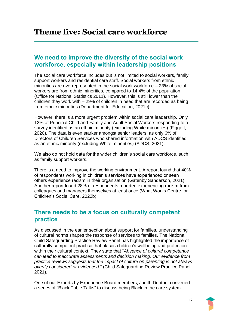# <span id="page-16-0"></span>**Theme five: Social care workforce**

#### **We need to improve the diversity of the social work workforce, especially within leadership positions**

The social care workforce includes but is not limited to social workers, family support workers and residential care staff. Social workers from ethnic minorities are overrepresented in the social work workforce – 23% of social workers are from ethnic minorities, compared to 14.4% of the population (Office for National Statistics 2011). However, this is still lower than the children they work with – 29% of children in need that are recorded as being from ethnic minorities (Department for Education, 2021c).

However, there is a more urgent problem within social care leadership. Only 12% of Principal Child and Family and Adult Social Workers responding to a survey identified as an ethnic minority (excluding White minorities) (Figgett, 2020). The data is even starker amongst senior leaders, as only 6% of Directors of Children Services who shared information with ADCS identified as an ethnic minority (excluding White minorities) (ADCS, 2021).

We also do not hold data for the wider children's social care workforce, such as family support workers.

There is a need to improve the working environment. A report found that 40% of respondents working in children's services have experienced or seen others experience racism in their organisation (Gatenby Sanderson, 2021). Another report found 28% of respondents reported experiencing racism from colleagues and managers themselves at least once (What Works Centre for Children's Social Care, 2022b).

#### **There needs to be a focus on culturally competent practice**

As discussed in the earlier section about support for families, understanding of cultural norms shapes the response of services to families. The National Child Safeguarding Practice Review Panel has highlighted the importance of culturally competent practice that places children's wellbeing and protection within their cultural context. They state that "*Absence of cultural competence can lead to inaccurate assessments and decision making. Our evidence from practice reviews suggests that the impact of culture on parenting is not always overtly considered or evidenced*." (Child Safeguarding Review Practice Panel, 2021).

One of our Experts by Experience Board members, Judith Denton, convened a series of "Black Table Talks" to discuss being Black in the care system.

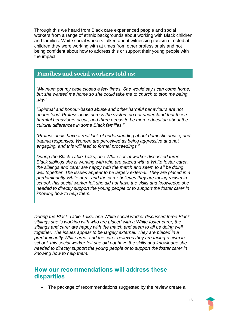Through this we heard from Black care experienced people and social workers from a range of ethnic backgrounds about working with Black children and families. White social workers talked about witnessing racism directed at children they were working with at times from other professionals and not being confident about how to address this or support their young people with the impact.

#### **Families and social workers told us:**

*"My mum got my case closed a few times. She would say I can come home, but she wanted me home so she could take me to church to stop me being gay."*

*"Spiritual and honour-based abuse and other harmful behaviours are not understood. Professionals across the system do not understand that these harmful behaviours occur, and there needs to be more education about the cultural differences in some Black families."*

"*Professionals have a real lack of understanding about domestic abuse, and trauma responses. Women are perceived as being aggressive and not engaging, and this will lead to formal proceedings."*

*During the Black Table Talks, one White social worker discussed three Black siblings she is working with who are placed with a White foster carer, the siblings and carer are happy with the match and seem to all be doing well together. The issues appear to be largely external. They are placed in a predominantly White area, and the carer believes they are facing racism in school, this social worker felt she did not have the skills and knowledge she needed to directly support the young people or to support the foster carer in knowing how to help them.*

*During the Black Table Talks, one White social worker discussed three Black siblings she is working with who are placed with a White foster carer, the siblings and carer are happy with the match and seem to all be doing well together. The issues appear to be largely external. They are placed in a predominantly White area, and the carer believes they are facing racism in school, this social worker felt she did not have the skills and knowledge she needed to directly support the young people or to support the foster carer in knowing how to help them.*

#### **How our recommendations will address these disparities**

• The package of recommendations suggested by the review create a

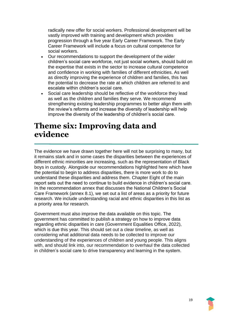radically new offer for social workers. Professional development will be vastly improved with training and development which provides progression through a five year Early Career Framework. The Early Career Framework will include a focus on cultural competence for social workers.

- Our recommendations to support the development of the wider children's social care workforce, not just social workers, should build on the expertise that exists in the sector to increase cultural competence and confidence in working with families of different ethnicities. As well as directly improving the experience of children and families, this has the potential to decrease the rate at which children are referred to and escalate within children's social care.
- Social care leadership should be reflective of the workforce they lead as well as the children and families they serve. We recommend strengthening existing leadership programmes to better align them with the review's reforms and increase the diversity of leadership will help improve the diversity of the leadership of children's social care.

## <span id="page-18-0"></span>**Theme six: Improving data and evidence**

The evidence we have drawn together here will not be surprising to many, but it remains stark and in some cases the disparities between the experiences of different ethnic minorities are increasing, such as the representation of Black boys in custody. Alongside our recommendations highlighted here which have the potential to begin to address disparities, there is more work to do to understand these disparities and address them. Chapter Eight of the main report sets out the need to continue to build evidence in children's social care. In the recommendation annex that discusses the National Children's Social Care Framework (annex 8.1), we set out a list of areas as a priority for future research. We include understanding racial and ethnic disparities in this list as a priority area for research.

Government must also improve the data available on this topic. The government has committed to publish a strategy on how to improve data regarding ethnic disparities in care (Government Equalities Office, 2022), which is due this year. This should set out a clear timeline, as well as considering what additional data needs to be collected to improve our understanding of the experiences of children and young people. This aligns with, and should link into, our recommendation to overhaul the data collected in children's social care to drive transparency and learning in the system.

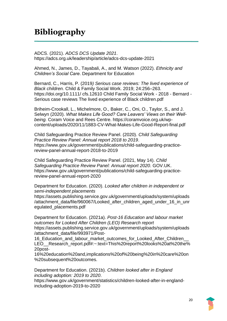# <span id="page-19-0"></span>**Bibliography**

ADCS. (2021). *ADCS DCS Update 2021*. https://adcs.org.uk/leadership/article/adcs-dcs-update-2021

Ahmed, N., James, D., Tayabali, A., and M. Watson (2022). *Ethnicity and Children's Social Care*. Department for Education

Bernard, C., Harris, P. (2019*) Serious case reviews: The lived experience of Black children.* Child & Family Social Work. 2019; 24:256–263. https://doi.org/10.1111/ cfs.12610 Child Family Social Work - 2018 - Bernard - Serious case reviews The lived experience of Black children.pdf

Briheim-Crookall, L., Michelmore, O., Baker, C., Oni, O., Taylor, S., and J. Selwyn (2020). *What Makes Life Good? Care Leavers' Views on their Wellbeing.* Coram Voice and Rees Centre. https://coramvoice.org.uk/wpcontent/uploads/2020/11/1883-CV-What-Makes-Life-Good-Report-final.pdf

Child Safeguarding Practice Review Panel. (2020). *Child Safeguarding Practice Review Panel: Annual report 2018 to 2019*. https://www.gov.uk/government/publications/child-safeguarding-practicereview-panel-annual-report-2018-to-2019

Child Safeguarding Practice Review Panel. (2021, May 14). *Child Safeguarding Practice Review Panel: Annual report 2020*. GOV.UK. https://www.gov.uk/government/publications/child-safeguarding-practicereview-panel-annual-report-2020

Department for Education. (2020). *Looked after children in independent or semi-independent placements*

https://assets.publishing.service.gov.uk/government/uploads/system/uploads /attachment\_data/file/960067/Looked\_after\_children\_aged\_under\_16\_in\_unr egulated\_placements.pdf

Department for Education. (2021a). *Post-16 Education and labour market outcomes for Looked After Children (LEO) Research report* https://assets.publishing.service.gov.uk/government/uploads/system/uploads /attachment\_data/file/993971/Post-

16\_Education\_and\_labour\_market\_outcomes\_for\_Looked\_After\_Children\_\_ LEO Research\_report.pdf#:~:text=This%20report%20looks%20at%20the% 20post-

16%20education%20and,implications%20of%20being%20in%20care%20on %20subsequent%20outcomes.

Department for Education. (2021b). *Children looked after in England including adoption: 2019 to 2020*.

https://www.gov.uk/government/statistics/children-looked-after-in-englandincluding-adoption-2019-to-2020

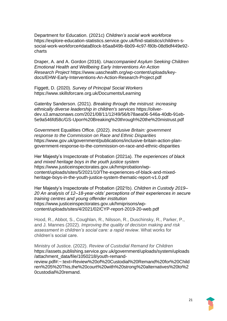Department for Education. (2021c) *Children's social work workforce* https://explore-education-statistics.service.gov.uk/find-statistics/children-ssocial-work-workforce#dataBlock-b5aa849b-6b09-4c97-f80b-08d9df449e92 charts

Draper, A. and A. Gordon (2016). *Unaccompanied Asylum Seeking Children Emotional Health and Wellbeing Early Interventions An Action Research Project* https://www.uaschealth.org/wp-content/uploads/keydocs/EHW-Early-Interventions-An-Action-Research-Project.pdf

Figgett, D. (2020). *Survey of Principal Social Workers* https://www.skillsforcare.org.uk/Documents/Learning

Gatenby Sanderson. (2021). *Breaking through the mistrust: increasing ethnically diverse leadership in children's services* https://oliverdev.s3.amazonaws.com/2021/08/11/12/49/56/b78aea06-546a-40db-91eb-5e9a546fd58c/GS-Upon%20Breaking%20through%20the%20mistrust.pdf

Government Equalities Office. (2022). *Inclusive Britain: government response to the Commission on Race and Ethnic Disparities* https://www.gov.uk/government/publications/inclusive-britain-action-plangovernment-response-to-the-commission-on-race-and-ethnic-disparities

Her Majesty's Inspectorate of Probation (2021a). *The experiences of black and mixed heritage boys in the youth justice system* https://www.justiceinspectorates.gov.uk/hmiprobation/wpcontent/uploads/sites/5/2021/10/The-experiences-of-black-and-mixedheritage-boys-in-the-youth-justice-system-thematic-report-v1.0.pdf

Her Majesty's Inspectorate of Probation (2021b). *Children in Custody 2019– 20 An analysis of 12–18-year-olds' perceptions of their experiences in secure training centres and young offender institution* https://www.justiceinspectorates.gov.uk/hmiprisons/wpcontent/uploads/sites/4/2021/02/CYP-report-2019-20-web.pdf

Hood, R., Abbot, S., Coughlan, R., Nilsson, R., Duschinsky, R., Parker, P., and J. Mannes (2022). *Improving the quality of decision making and risk assessment in children's social care: a rapid review*. What works for children's social care.

Ministry of Justice. (2022). *Review of Custodial Remand for Children* https://assets.publishing.service.gov.uk/government/uploads/system/uploads /attachment\_data/file/1050218/youth-remandreview.pdf#:~:text=Review%20of%20Custodial%20Remand%20for%20Child

ren%205%20This,the%20court%20with%20strong%20alternatives%20to%2 0custodial%20remand.

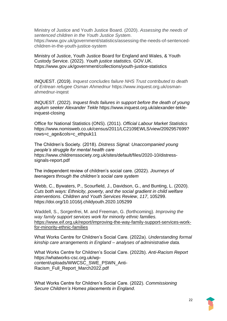Ministry of Justice and Youth Justice Board. (2020). *Assessing the needs of sentenced children in the Youth Justice System*. https://www.gov.uk/government/statistics/assessing-the-needs-of-sentencedchildren-in-the-youth-justice-system

Ministry of Justice, Youth Justice Board for England and Wales, & Youth Custody Service. (2022). *Youth justice statistics*. GOV.UK. https://www.gov.uk/government/collections/youth-justice-statistics

INQUEST. (2019). *Inquest concludes failure NHS Trust contributed to death of Eritrean refugee Osman Ahmednur* https://www.inquest.org.uk/osmanahmednur-inqest

INQUEST. (2022). *Inquest finds failures in support before the death of young asylum seeker Alexander Tekle* https://www.inquest.org.uk/alexander-tekleinquest-closing

Office for National Statistics (ONS). (2011). *Official Labour Market Statistics* https://www.nomisweb.co.uk/census/2011/LC2109EWLS/view/2092957699? rows=c\_age&cols=c\_ethpuk11

The Children's Society. (2018). *Distress Signal: Unaccompanied young people's struggle for mental health care* https://www.childrenssociety.org.uk/sites/default/files/2020-10/distresssignals-report.pdf

The independent review of children's social care. (2022). *Journeys of teenagers through the children's social care system*

Webb, C., Bywaters, P., Scourfield, J., Davidson, G., and Bunting, L. (2020). *Cuts both ways: Ethnicity, poverty, and the social gradient in child welfare interventions*. *Children and Youth Services Review*, *117*, 105299. https://doi.org/10.1016/j.childyouth.2020.105299

Waddell, S., Sorgenfrei, M. and Freeman, G. (forthcoming). *Improving the way family support services work for minority ethnic families[.](https://www.eif.org.uk/report/improving-the-way-family-support-services-work-for-minority-ethnic-families)* [https://www.eif.org.uk/report/improving-the-way-family-support-services-work](https://www.eif.org.uk/report/improving-the-way-family-support-services-work-for-minority-ethnic-families)[for-minority-ethnic-families](https://www.eif.org.uk/report/improving-the-way-family-support-services-work-for-minority-ethnic-families)

What Works Centre for Children's Social Care. (2022a). *Understanding formal kinship care arrangements in England – analyses of administrative data.*

What Works Centre for Children's Social Care. (2022b). *Anti-Racism Report* https://whatworks-csc.org.uk/wpcontent/uploads/WWCSC\_SWE\_PSWN\_Anti-Racism\_Full\_Report\_March2022.pdf

What Works Centre for Children's Social Care. (2022). *Commissioning Secure Children's Homes placements in England*.